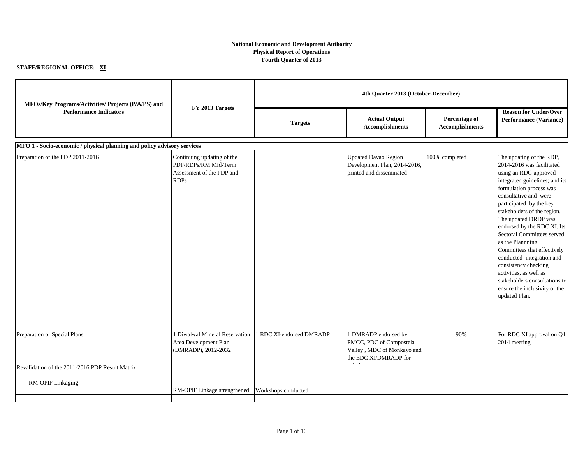## **National Economic and Development Authority Physical Report of Operations Fourth Quarter of 2013**

## **STAFF/REGIONAL OFFICE: XI**

| MFOs/Key Programs/Activities/ Projects (P/A/PS) and                     |                                                                                                |                          |                                                                                                        | 4th Quarter 2013 (October-December)     |                                                                                                                                                                                                                                                                                                                                                                                                                                                                                                                                          |  |
|-------------------------------------------------------------------------|------------------------------------------------------------------------------------------------|--------------------------|--------------------------------------------------------------------------------------------------------|-----------------------------------------|------------------------------------------------------------------------------------------------------------------------------------------------------------------------------------------------------------------------------------------------------------------------------------------------------------------------------------------------------------------------------------------------------------------------------------------------------------------------------------------------------------------------------------------|--|
| <b>Performance Indicators</b>                                           | FY 2013 Targets                                                                                | <b>Targets</b>           | <b>Actual Output</b><br><b>Accomplishments</b>                                                         | Percentage of<br><b>Accomplishments</b> | <b>Reason for Under/Over</b><br><b>Performance (Variance)</b>                                                                                                                                                                                                                                                                                                                                                                                                                                                                            |  |
| MFO 1 - Socio-economic / physical planning and policy advisory services |                                                                                                |                          |                                                                                                        |                                         |                                                                                                                                                                                                                                                                                                                                                                                                                                                                                                                                          |  |
| Preparation of the PDP 2011-2016                                        | Continuing updating of the<br>PDP/RDPs/RM Mid-Term<br>Assessment of the PDP and<br><b>RDPs</b> |                          | <b>Updated Davao Region</b><br>Development Plan, 2014-2016,<br>printed and disseminated                | 100% completed                          | The updating of the RDP,<br>2014-2016 was facilitated<br>using an RDC-approved<br>integrated guidelines; and its<br>formulation process was<br>consultative and were<br>participated by the key<br>stakeholders of the region.<br>The updated DRDP was<br>endorsed by the RDC XI. Its<br>Sectoral Committees served<br>as the Plannning<br>Committees that effectively<br>conducted integration and<br>consistency checking<br>activities, as well as<br>stakeholders consultations to<br>ensure the inclusivity of the<br>updated Plan. |  |
| Preparation of Special Plans                                            | 1 Diwalwal Mineral Reservation<br>Area Development Plan<br>(DMRADP), 2012-2032                 | 1 RDC XI-endorsed DMRADP | 1 DMRADP endorsed by<br>PMCC, PDC of Compostela<br>Valley, MDC of Monkayo and<br>the EDC XI/DMRADP for | 90%                                     | For RDC XI approval on Q1<br>2014 meeting                                                                                                                                                                                                                                                                                                                                                                                                                                                                                                |  |
| Revalidation of the 2011-2016 PDP Result Matrix                         |                                                                                                |                          |                                                                                                        |                                         |                                                                                                                                                                                                                                                                                                                                                                                                                                                                                                                                          |  |
| <b>RM-OPIF Linkaging</b>                                                | RM-OPIF Linkage strengthened                                                                   | Workshops conducted      |                                                                                                        |                                         |                                                                                                                                                                                                                                                                                                                                                                                                                                                                                                                                          |  |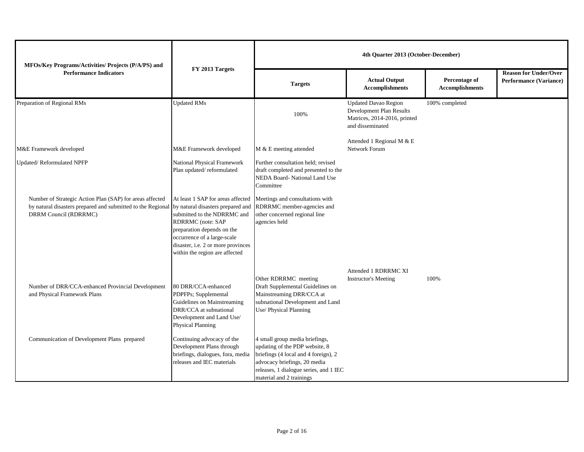| MFOs/Key Programs/Activities/ Projects (P/A/PS) and                                                                                              |                                                                                                                                                                                                                                                                 | 4th Quarter 2013 (October-December)                                                                                                                                                                            |                                                                                                             |                                         |                                                               |
|--------------------------------------------------------------------------------------------------------------------------------------------------|-----------------------------------------------------------------------------------------------------------------------------------------------------------------------------------------------------------------------------------------------------------------|----------------------------------------------------------------------------------------------------------------------------------------------------------------------------------------------------------------|-------------------------------------------------------------------------------------------------------------|-----------------------------------------|---------------------------------------------------------------|
| <b>Performance Indicators</b>                                                                                                                    | FY 2013 Targets                                                                                                                                                                                                                                                 | <b>Targets</b>                                                                                                                                                                                                 | <b>Actual Output</b><br><b>Accomplishments</b>                                                              | Percentage of<br><b>Accomplishments</b> | <b>Reason for Under/Over</b><br><b>Performance (Variance)</b> |
| Preparation of Regional RMs                                                                                                                      | <b>Updated RMs</b>                                                                                                                                                                                                                                              | 100%                                                                                                                                                                                                           | <b>Updated Davao Region</b><br>Development Plan Results<br>Matrices, 2014-2016, printed<br>and disseminated | 100% completed                          |                                                               |
| M&E Framework developed                                                                                                                          | M&E Framework developed                                                                                                                                                                                                                                         | M & E meeting attended                                                                                                                                                                                         | Attended 1 Regional M & E<br>Network Forum                                                                  |                                         |                                                               |
| Updated/Reformulated NPFP                                                                                                                        | National Physical Framework<br>Plan updated/reformulated                                                                                                                                                                                                        | Further consultation held; revised<br>draft completed and presented to the<br>NEDA Board- National Land Use<br>Committee                                                                                       |                                                                                                             |                                         |                                                               |
| Number of Strategic Action Plan (SAP) for areas affected<br>by natural disasters prepared and submitted to the Regional<br>DRRM Council (RDRRMC) | At least 1 SAP for areas affected<br>by natural disasters prepared and<br>submitted to the NDRRMC and<br>RDRRMC (note: SAP<br>preparation depends on the<br>occurrence of a large-scale<br>disaster, i.e. 2 or more provinces<br>within the region are affected | Meetings and consultations with<br>RDRRMC member-agencies and<br>other concerned regional line<br>agencies held                                                                                                |                                                                                                             |                                         |                                                               |
| Number of DRR/CCA-enhanced Provincial Development<br>and Physical Framework Plans                                                                | 80 DRR/CCA-enhanced<br>PDPFPs; Supplemental<br>Guidelines on Mainstreaming<br>DRR/CCA at subnational<br>Development and Land Use/<br><b>Physical Planning</b>                                                                                                   | Other RDRRMC meeting<br>Draft Supplemental Guidelines on<br>Mainstreaming DRR/CCA at<br>subnational Development and Land<br>Use/ Physical Planning                                                             | Attended 1 RDRRMC XI<br><b>Instructor's Meeting</b>                                                         | 100%                                    |                                                               |
| Communication of Development Plans prepared                                                                                                      | Continuing advocacy of the<br>Development Plans through<br>briefings, dialogues, fora, media<br>releases and IEC materials                                                                                                                                      | 4 small group media briefings,<br>updating of the PDP website, 8<br>briefings (4 local and 4 foreign), 2<br>advocacy briefings, 20 media<br>releases, 1 dialogue series, and 1 IEC<br>material and 2 trainings |                                                                                                             |                                         |                                                               |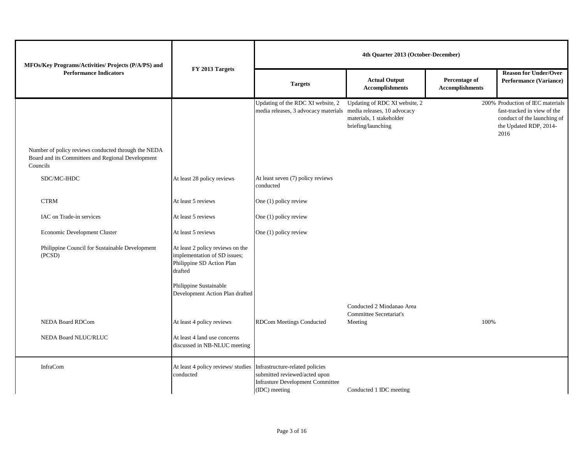| MFOs/Key Programs/Activities/ Projects (P/A/PS) and                                                                  |                                                                                                          | 4th Quarter 2013 (October-December)                                                                                          |                                                                                 |                                         |                                                                                                                                  |
|----------------------------------------------------------------------------------------------------------------------|----------------------------------------------------------------------------------------------------------|------------------------------------------------------------------------------------------------------------------------------|---------------------------------------------------------------------------------|-----------------------------------------|----------------------------------------------------------------------------------------------------------------------------------|
| <b>Performance Indicators</b>                                                                                        | FY 2013 Targets                                                                                          | <b>Targets</b>                                                                                                               | <b>Actual Output</b><br><b>Accomplishments</b>                                  | Percentage of<br><b>Accomplishments</b> | <b>Reason for Under/Over</b><br><b>Performance (Variance)</b>                                                                    |
|                                                                                                                      |                                                                                                          | Updating of the RDC XI website, 2<br>media releases, 3 advocacy materials media releases, 10 advocacy                        | Updating of RDC XI website, 2<br>materials, 1 stakeholder<br>briefing/launching |                                         | 200% Production of IEC materials<br>fast-tracked in view of the<br>conduct of the launching of<br>the Updated RDP, 2014-<br>2016 |
| Number of policy reviews conducted through the NEDA<br>Board and its Committees and Regional Development<br>Councils |                                                                                                          |                                                                                                                              |                                                                                 |                                         |                                                                                                                                  |
| SDC/MC-IHDC                                                                                                          | At least 28 policy reviews                                                                               | At least seven (7) policy reviews<br>conducted                                                                               |                                                                                 |                                         |                                                                                                                                  |
| <b>CTRM</b>                                                                                                          | At least 5 reviews                                                                                       | One (1) policy review                                                                                                        |                                                                                 |                                         |                                                                                                                                  |
| IAC on Trade-in services                                                                                             | At least 5 reviews                                                                                       | One (1) policy review                                                                                                        |                                                                                 |                                         |                                                                                                                                  |
| Economic Development Cluster                                                                                         | At least 5 reviews                                                                                       | One (1) policy review                                                                                                        |                                                                                 |                                         |                                                                                                                                  |
| Philippine Council for Sustainable Development<br>(PCSD)                                                             | At least 2 policy reviews on the<br>implementation of SD issues;<br>Philippine SD Action Plan<br>drafted |                                                                                                                              |                                                                                 |                                         |                                                                                                                                  |
|                                                                                                                      | Philippine Sustainable<br>Development Action Plan drafted                                                |                                                                                                                              |                                                                                 |                                         |                                                                                                                                  |
|                                                                                                                      |                                                                                                          |                                                                                                                              | Conducted 2 Mindanao Area<br>Committee Secretariat's                            |                                         |                                                                                                                                  |
| <b>NEDA Board RDCom</b>                                                                                              | At least 4 policy reviews                                                                                | <b>RDCom Meetings Conducted</b>                                                                                              | Meeting                                                                         | 100%                                    |                                                                                                                                  |
| NEDA Board NLUC/RLUC                                                                                                 | At least 4 land use concerns<br>discussed in NB-NLUC meeting                                             |                                                                                                                              |                                                                                 |                                         |                                                                                                                                  |
| <b>InfraCom</b>                                                                                                      | At least 4 policy reviews/ studies<br>conducted                                                          | Infrastructure-related policies<br>submitted reviewed/acted upon<br><b>Infrasture Development Committee</b><br>(IDC) meeting | Conducted 1 IDC meeting                                                         |                                         |                                                                                                                                  |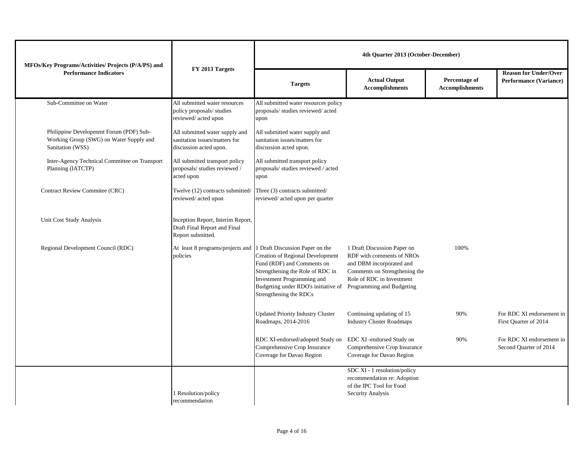| MFOs/Key Programs/Activities/ Projects (P/A/PS) and                                                    |                                                                                           |                                                                                                                                                                                                                                    | 4th Quarter 2013 (October-December)                                                                                                                |                                         |                                                               |
|--------------------------------------------------------------------------------------------------------|-------------------------------------------------------------------------------------------|------------------------------------------------------------------------------------------------------------------------------------------------------------------------------------------------------------------------------------|----------------------------------------------------------------------------------------------------------------------------------------------------|-----------------------------------------|---------------------------------------------------------------|
| <b>Performance Indicators</b>                                                                          | FY 2013 Targets                                                                           | <b>Targets</b>                                                                                                                                                                                                                     | <b>Actual Output</b><br><b>Accomplishments</b>                                                                                                     | Percentage of<br><b>Accomplishments</b> | <b>Reason for Under/Over</b><br><b>Performance (Variance)</b> |
| Sub-Committee on Water                                                                                 | All submitted water resources<br>policy proposals/ studies<br>reviewed/acted upon         | All submitted water resources policy<br>proposals/ studies reviewed/ acted<br>upon                                                                                                                                                 |                                                                                                                                                    |                                         |                                                               |
| Philippine Development Forum (PDF) Sub-<br>Working Group (SWG) on Water Supply and<br>Sanitation (WSS) | All submitted water supply and<br>sanitation issues/matters for<br>discussion acted upon. | All submitted water supply and<br>sanitation issues/matters for<br>discussion acted upon.                                                                                                                                          |                                                                                                                                                    |                                         |                                                               |
| Inter-Agency Technical Committee on Transport<br>Planning (IATCTP)                                     | All submitted transport policy<br>proposals/ studies reviewed /<br>acted upon             | All submitted transport policy<br>proposals/ studies reviewed / acted<br>upon                                                                                                                                                      |                                                                                                                                                    |                                         |                                                               |
| Contract Review Commitee (CRC)                                                                         | Twelve (12) contracts submitted/<br>reviewed/acted upon                                   | Three (3) contracts submitted/<br>reviewed/acted upon per quarter                                                                                                                                                                  |                                                                                                                                                    |                                         |                                                               |
| Unit Cost Study Analysis                                                                               | Inception Report, Interim Report,<br>Draft Final Report and Final<br>Report submitted.    |                                                                                                                                                                                                                                    |                                                                                                                                                    |                                         |                                                               |
| Regional Development Council (RDC)                                                                     | At least 8 programs/projects and 1 Draft Discussion Paper on the<br>policies              | <b>Creation of Regional Development</b><br>Fund (RDF) and Comments on<br>Strengthening the Role of RDC in<br>Investment Programming and<br>Budgeting under RDO's initiative of Programming and Budgeting<br>Strengthening the RDCs | 1 Draft Discussion Paper on<br>RDF with comments of NROs<br>and DBM incorporated and<br>Comments on Strengthening the<br>Role of RDC in Investment | 100%                                    |                                                               |
|                                                                                                        |                                                                                           | <b>Updated Priority Industry Cluster</b><br>Roadmaps, 2014-2016                                                                                                                                                                    | Continuing updating of 15<br><b>Industry Cluster Roadmaps</b>                                                                                      | 90%                                     | For RDC XI endorsement in<br>First Quarter of 2014            |
|                                                                                                        |                                                                                           | RDC XI-endorsed/adopted Study on<br>Comprehensive Crop Insurance<br>Coverage for Davao Region                                                                                                                                      | EDC XI -endorsed Study on<br>Comprehensive Crop Insurance<br>Coverage for Davao Region                                                             | 90%                                     | For RDC XI endorsement in<br>Second Quarter of 2014           |
|                                                                                                        | 1 Resolution/policy<br>recommendation                                                     |                                                                                                                                                                                                                                    | SDC XI - 1 resolution/policy<br>recommendation re: Adoption<br>of the IPC Tool for Food<br>Security Analysis                                       |                                         |                                                               |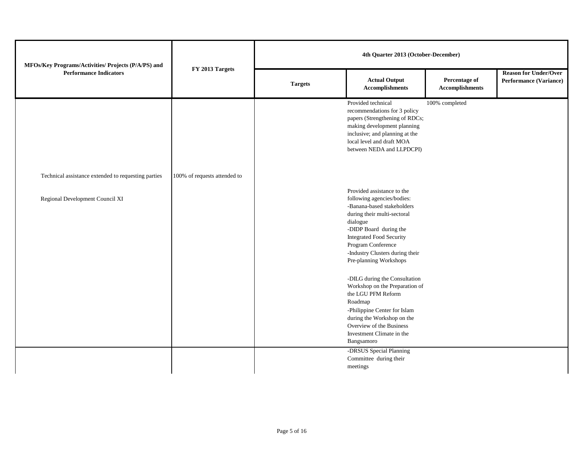| MFOs/Key Programs/Activities/ Projects (P/A/PS) and |                              |                |                                                                                                                                                                                                                                                                                                                                                                                                                                                     |                                         |                                                               |  | 4th Quarter 2013 (October-December) |  |  |  |
|-----------------------------------------------------|------------------------------|----------------|-----------------------------------------------------------------------------------------------------------------------------------------------------------------------------------------------------------------------------------------------------------------------------------------------------------------------------------------------------------------------------------------------------------------------------------------------------|-----------------------------------------|---------------------------------------------------------------|--|-------------------------------------|--|--|--|
| <b>Performance Indicators</b>                       | FY 2013 Targets              | <b>Targets</b> | <b>Actual Output</b>                                                                                                                                                                                                                                                                                                                                                                                                                                | Percentage of<br><b>Accomplishments</b> | <b>Reason for Under/Over</b><br><b>Performance (Variance)</b> |  |                                     |  |  |  |
|                                                     |                              |                | Provided technical<br>recommendations for 3 policy<br>papers (Strengthening of RDCs;<br>making development planning<br>inclusive; and planning at the<br>local level and draft MOA<br>between NEDA and LLPDCPI)                                                                                                                                                                                                                                     | 100% completed                          |                                                               |  |                                     |  |  |  |
| Technical assistance extended to requesting parties | 100% of requests attended to |                |                                                                                                                                                                                                                                                                                                                                                                                                                                                     |                                         |                                                               |  |                                     |  |  |  |
| Regional Development Council XI                     |                              |                | Provided assistance to the<br>following agencies/bodies:<br>-Banana-based stakeholders<br>during their multi-sectoral<br>dialogue<br>-DIDP Board during the<br><b>Integrated Food Security</b><br>Program Conference<br>-Industry Clusters during their<br>Pre-planning Workshops<br>-DILG during the Consultation<br>Workshop on the Preparation of<br>the LGU PFM Reform<br>Roadmap<br>-Philippine Center for Islam<br>during the Workshop on the |                                         |                                                               |  |                                     |  |  |  |
|                                                     |                              |                | Overview of the Business<br>Investment Climate in the<br>Bangsamoro                                                                                                                                                                                                                                                                                                                                                                                 |                                         |                                                               |  |                                     |  |  |  |
|                                                     |                              |                | -DRSUS Special Planning<br>Committee during their<br>meetings                                                                                                                                                                                                                                                                                                                                                                                       |                                         |                                                               |  |                                     |  |  |  |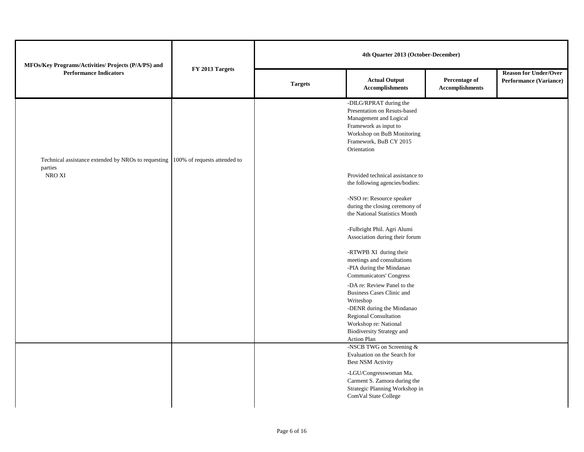| MFOs/Key Programs/Activities/ Projects (P/A/PS) and                                                   |                 |                |                                                                                                                                                                                                                |                                                |                                                               | 4th Quarter 2013 (October-December) |  |  |  |
|-------------------------------------------------------------------------------------------------------|-----------------|----------------|----------------------------------------------------------------------------------------------------------------------------------------------------------------------------------------------------------------|------------------------------------------------|---------------------------------------------------------------|-------------------------------------|--|--|--|
| <b>Performance Indicators</b>                                                                         | FY 2013 Targets | <b>Targets</b> | <b>Actual Output</b><br><b>Accomplishments</b>                                                                                                                                                                 | <b>Percentage of</b><br><b>Accomplishments</b> | <b>Reason for Under/Over</b><br><b>Performance (Variance)</b> |                                     |  |  |  |
|                                                                                                       |                 |                | -DILG/RPRAT during the<br>Presentation on Resuts-based<br>Management and Logical<br>Framework as input to<br>Workshop on BuB Monitoring<br>Framework, BuB CY 2015<br>Orientation                               |                                                |                                                               |                                     |  |  |  |
| Technical assistance extended by NROs to requesting 100% of requests attended to<br>parties<br>NRO XI |                 |                | Provided technical assistance to<br>the following agencies/bodies:                                                                                                                                             |                                                |                                                               |                                     |  |  |  |
|                                                                                                       |                 |                | -NSO re: Resource speaker<br>during the closing ceremony of<br>the National Statistics Month                                                                                                                   |                                                |                                                               |                                     |  |  |  |
|                                                                                                       |                 |                | -Fulbright Phil. Agri Alumi<br>Association during their forum                                                                                                                                                  |                                                |                                                               |                                     |  |  |  |
|                                                                                                       |                 |                | -RTWPB XI during their<br>meetings and consultations<br>-PIA during the Mindanao<br>Communicators' Congress                                                                                                    |                                                |                                                               |                                     |  |  |  |
|                                                                                                       |                 |                | -DA re: Review Panel to the<br><b>Business Cases Clinic and</b><br>Writeshop<br>-DENR during the Mindanao<br>Regional Consultation<br>Workshop re: National<br><b>Biodiversity Strategy and</b><br>Action Plan |                                                |                                                               |                                     |  |  |  |
|                                                                                                       |                 |                | -NSCB TWG on Screening &<br>Evaluation on the Search for<br><b>Best NSM Activity</b>                                                                                                                           |                                                |                                                               |                                     |  |  |  |
|                                                                                                       |                 |                | -LGU/Congresswoman Ma.<br>Carment S. Zamora during the<br>Strategic Planning Workshop in<br>ComVal State College                                                                                               |                                                |                                                               |                                     |  |  |  |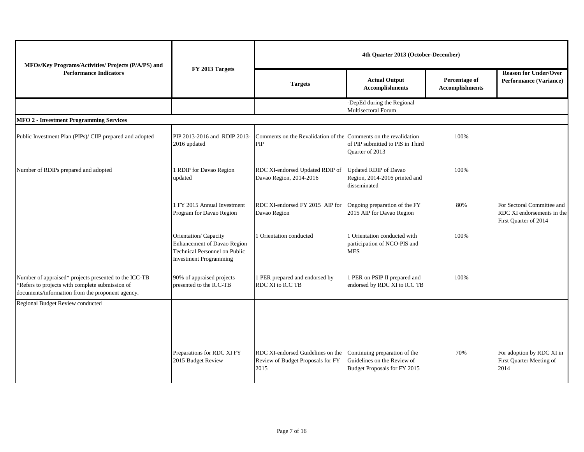| MFOs/Key Programs/Activities/ Projects (P/A/PS) and<br><b>Performance Indicators</b>                                                                         |                                                                                                                       |                                                                                                              |                                                                               | 4th Quarter 2013 (October-December)     |                                                                                   |  |
|--------------------------------------------------------------------------------------------------------------------------------------------------------------|-----------------------------------------------------------------------------------------------------------------------|--------------------------------------------------------------------------------------------------------------|-------------------------------------------------------------------------------|-----------------------------------------|-----------------------------------------------------------------------------------|--|
|                                                                                                                                                              | FY 2013 Targets                                                                                                       | <b>Targets</b>                                                                                               | <b>Actual Output</b>                                                          | Percentage of<br><b>Accomplishments</b> | <b>Reason for Under/Over</b><br><b>Performance (Variance)</b>                     |  |
|                                                                                                                                                              |                                                                                                                       |                                                                                                              | -DepEd during the Regional<br>Multisectoral Forum                             |                                         |                                                                                   |  |
| <b>MFO 2 - Investment Programming Services</b>                                                                                                               |                                                                                                                       |                                                                                                              |                                                                               |                                         |                                                                                   |  |
| Public Investment Plan (PIPs)/ CIIP prepared and adopted                                                                                                     | PIP 2013-2016 and RDIP 2013-<br>2016 updated                                                                          | Comments on the Revalidation of the Comments on the revalidation<br>PIP                                      | of PIP submitted to PIS in Third<br>Quarter of 2013                           | 100%                                    |                                                                                   |  |
| Number of RDIPs prepared and adopted                                                                                                                         | 1 RDIP for Davao Region<br>updated                                                                                    | RDC XI-endorsed Updated RDIP of<br>Davao Region, 2014-2016                                                   | <b>Updated RDIP</b> of Davao<br>Region, 2014-2016 printed and<br>disseminated | 100%                                    |                                                                                   |  |
|                                                                                                                                                              | 1 FY 2015 Annual Investment<br>Program for Davao Region                                                               | RDC XI-endorsed FY 2015 AIP for Ongoing preparation of the FY<br>Davao Region                                | 2015 AIP for Davao Region                                                     | 80%                                     | For Sectoral Committee and<br>RDC XI endorsements in the<br>First Quarter of 2014 |  |
|                                                                                                                                                              | Orientation/Capacity<br>Enhancement of Davao Region<br>Technical Personnel on Public<br><b>Investment Programming</b> | <b>Orientation</b> conducted                                                                                 | 1 Orientation conducted with<br>participation of NCO-PIS and<br><b>MES</b>    | 100%                                    |                                                                                   |  |
| Number of appraised* projects presented to the ICC-TB<br>*Refers to projects with complete submission of<br>documents/information from the proponent agency. | 90% of appraised projects<br>presented to the ICC-TB                                                                  | 1 PER prepared and endorsed by<br><b>RDC XI to ICC TB</b>                                                    | 1 PER on PSIP II prepared and<br>endorsed by RDC XI to ICC TB                 | 100%                                    |                                                                                   |  |
| Regional Budget Review conducted                                                                                                                             | Preparations for RDC XI FY<br>2015 Budget Review                                                                      | RDC XI-endorsed Guidelines on the Continuing preparation of the<br>Review of Budget Proposals for FY<br>2015 | Guidelines on the Review of<br>Budget Proposals for FY 2015                   | 70%                                     | For adoption by RDC XI in<br>First Quarter Meeting of<br>2014                     |  |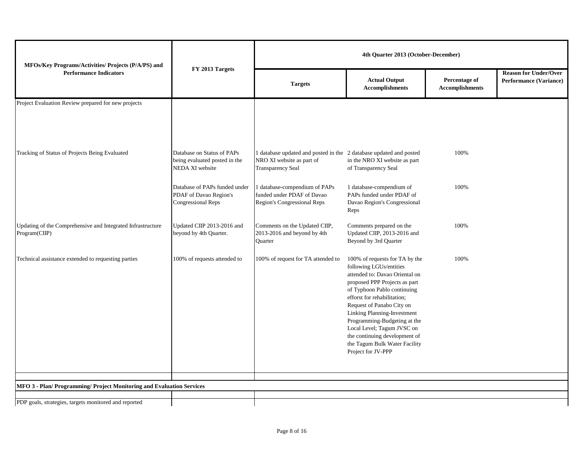| MFOs/Key Programs/Activities/ Projects (P/A/PS) and                          |                                                                                |                                                                                                                             | 4th Quarter 2013 (October-December)                                                                                                                                                                                                                                                                                                                                                                          |                                         |                                                               |
|------------------------------------------------------------------------------|--------------------------------------------------------------------------------|-----------------------------------------------------------------------------------------------------------------------------|--------------------------------------------------------------------------------------------------------------------------------------------------------------------------------------------------------------------------------------------------------------------------------------------------------------------------------------------------------------------------------------------------------------|-----------------------------------------|---------------------------------------------------------------|
| <b>Performance Indicators</b>                                                | FY 2013 Targets                                                                | <b>Targets</b>                                                                                                              | <b>Actual Output</b><br><b>Accomplishments</b>                                                                                                                                                                                                                                                                                                                                                               | Percentage of<br><b>Accomplishments</b> | <b>Reason for Under/Over</b><br><b>Performance (Variance)</b> |
| Project Evaluation Review prepared for new projects                          |                                                                                |                                                                                                                             |                                                                                                                                                                                                                                                                                                                                                                                                              |                                         |                                                               |
| Tracking of Status of Projects Being Evaluated                               | Database on Status of PAPs<br>being evaluated posted in the<br>NEDA XI website | 1 database updated and posted in the 2 database updated and posted<br>NRO XI website as part of<br><b>Transparency Seal</b> | in the NRO XI website as part<br>of Transparency Seal                                                                                                                                                                                                                                                                                                                                                        | 100%                                    |                                                               |
|                                                                              | Database of PAPs funded under<br>PDAF of Davao Region's<br>Congressional Reps  | 1 database-compendium of PAPs<br>funded under PDAF of Davao<br>Region's Congressional Reps                                  | 1 database-compendium of<br>PAPs funded under PDAF of<br>Davao Region's Congressional<br>Reps                                                                                                                                                                                                                                                                                                                | 100%                                    |                                                               |
| Updating of the Comprehensive and Integrated Infrastructure<br>Program(CIIP) | Updated CIIP 2013-2016 and<br>beyond by 4th Quarter.                           | Comments on the Updated CIIP,<br>2013-2016 and beyond by 4th<br><b>Ouarter</b>                                              | Comments prepared on the<br>Updated CIIP, 2013-2016 and<br>Beyond by 3rd Quarter                                                                                                                                                                                                                                                                                                                             | 100%                                    |                                                               |
| Technical assistance extended to requesting parties                          | 100% of requests attended to                                                   | 100% of request for TA attended to                                                                                          | 100% of requests for TA by the<br>following LGUs/entities<br>attended to: Davao Oriental on<br>proposed PPP Projects as part<br>of Typhoon Pablo continuing<br>efforst for rehabilitation;<br>Request of Panabo City on<br>Linking Planning-Investment<br>Programming-Budgeting at the<br>Local Level; Tagum JVSC on<br>the continuing development of<br>the Tagum Bulk Water Facility<br>Project for JV-PPP | 100%                                    |                                                               |
| MFO 3 - Plan/ Programming/ Project Monitoring and Evaluation Services        |                                                                                |                                                                                                                             |                                                                                                                                                                                                                                                                                                                                                                                                              |                                         |                                                               |
| PDP goals, strategies, targets monitored and reported                        |                                                                                |                                                                                                                             |                                                                                                                                                                                                                                                                                                                                                                                                              |                                         |                                                               |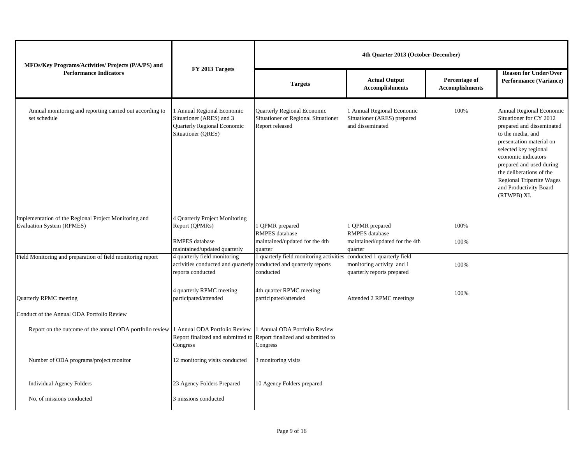| MFOs/Key Programs/Activities/ Projects (P/A/PS) and                                | FY 2013 Targets                                                                                                         | 4th Quarter 2013 (October-December)                                                                              |                                                                               |                                         |                                                                                                                                                                                                                                                                                                                        |
|------------------------------------------------------------------------------------|-------------------------------------------------------------------------------------------------------------------------|------------------------------------------------------------------------------------------------------------------|-------------------------------------------------------------------------------|-----------------------------------------|------------------------------------------------------------------------------------------------------------------------------------------------------------------------------------------------------------------------------------------------------------------------------------------------------------------------|
| <b>Performance Indicators</b>                                                      |                                                                                                                         | <b>Targets</b>                                                                                                   | <b>Actual Output</b><br><b>Accomplishments</b>                                | Percentage of<br><b>Accomplishments</b> | <b>Reason for Under/Over</b><br><b>Performance (Variance)</b>                                                                                                                                                                                                                                                          |
| Annual monitoring and reporting carried out according to<br>set schedule           | 1 Annual Regional Economic<br>Situationer (ARES) and 3<br>Quarterly Regional Economic<br>Situationer (QRES)             | Quarterly Regional Economic<br>Situationer or Regional Situationer<br>Report released                            | 1 Annual Regional Economic<br>Situationer (ARES) prepared<br>and disseminated | 100%                                    | Annual Regional Economic<br>Situationer for CY 2012<br>prepared and disseminated<br>to the media, and<br>presentation material on<br>selected key regional<br>economic indicators<br>prepared and used during<br>the deliberations of the<br><b>Regional Tripartite Wages</b><br>and Productivity Board<br>(RTWPB) XI. |
| Implementation of the Regional Project Monitoring and<br>Evaluation System (RPMES) | 4 Quarterly Project Monitoring<br>Report (QPMRs)                                                                        | QPMR prepared<br><b>RMPES</b> database                                                                           | 1 QPMR prepared<br><b>RMPES</b> database                                      | 100%                                    |                                                                                                                                                                                                                                                                                                                        |
|                                                                                    | <b>RMPES</b> database<br>maintained/updated quarterly                                                                   | maintained/updated for the 4th<br>quarter                                                                        | maintained/updated for the 4th<br>quarter                                     | 100%                                    |                                                                                                                                                                                                                                                                                                                        |
| Field Monitoring and preparation of field monitoring report                        | 4 quarterly field monitoring<br>activities conducted and quarterly conducted and quarterly reports<br>reports conducted | 1 quarterly field monitoring activities conducted 1 quarterly field<br>conducted                                 | monitoring activity and 1<br>quarterly reports prepared                       | 100%                                    |                                                                                                                                                                                                                                                                                                                        |
| Quarterly RPMC meeting                                                             | 4 quarterly RPMC meeting<br>participated/attended                                                                       | 4th quarter RPMC meeting<br>participated/attended                                                                | Attended 2 RPMC meetings                                                      | 100%                                    |                                                                                                                                                                                                                                                                                                                        |
| Conduct of the Annual ODA Portfolio Review                                         |                                                                                                                         |                                                                                                                  |                                                                               |                                         |                                                                                                                                                                                                                                                                                                                        |
| Report on the outcome of the annual ODA portfolio review                           | 1 Annual ODA Portfolio Review<br>Congress                                                                               | 1 Annual ODA Portfolio Review<br>Report finalized and submitted to Report finalized and submitted to<br>Congress |                                                                               |                                         |                                                                                                                                                                                                                                                                                                                        |
| Number of ODA programs/project monitor                                             | 12 monitoring visits conducted                                                                                          | 3 monitoring visits                                                                                              |                                                                               |                                         |                                                                                                                                                                                                                                                                                                                        |
| <b>Individual Agency Folders</b>                                                   | 23 Agency Folders Prepared                                                                                              | 10 Agency Folders prepared                                                                                       |                                                                               |                                         |                                                                                                                                                                                                                                                                                                                        |
| No. of missions conducted                                                          | 3 missions conducted                                                                                                    |                                                                                                                  |                                                                               |                                         |                                                                                                                                                                                                                                                                                                                        |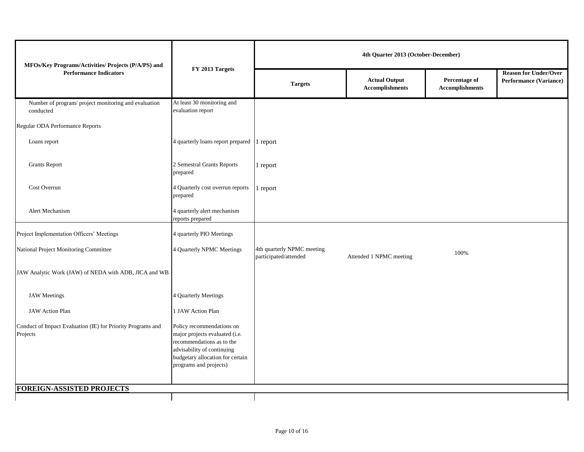| MFOs/Key Programs/Activities/ Projects (P/A/PS) and                     |                                                                                                                                                                                      | 4th Quarter 2013 (October-December)                 |                                                |                                         |                                                               |
|-------------------------------------------------------------------------|--------------------------------------------------------------------------------------------------------------------------------------------------------------------------------------|-----------------------------------------------------|------------------------------------------------|-----------------------------------------|---------------------------------------------------------------|
| <b>Performance Indicators</b>                                           | FY 2013 Targets                                                                                                                                                                      | <b>Targets</b>                                      | <b>Actual Output</b><br><b>Accomplishments</b> | Percentage of<br><b>Accomplishments</b> | <b>Reason for Under/Over</b><br><b>Performance (Variance)</b> |
| Number of program/ project monitoring and evaluation<br>conducted       | At least 30 monitoring and<br>evaluation report                                                                                                                                      |                                                     |                                                |                                         |                                                               |
| Regular ODA Performance Reports                                         |                                                                                                                                                                                      |                                                     |                                                |                                         |                                                               |
| Loans report                                                            | 4 quarterly loans report prepared                                                                                                                                                    | 1 report                                            |                                                |                                         |                                                               |
| <b>Grants Report</b>                                                    | 2 Semestral Grants Reports<br>prepared                                                                                                                                               | 1 report                                            |                                                |                                         |                                                               |
| Cost Overrun                                                            | 4 Quarterly cost overrun reports<br>prepared                                                                                                                                         | 1 report                                            |                                                |                                         |                                                               |
| Alert Mechanism                                                         | 4 quarterly alert mechanism<br>reports prepared                                                                                                                                      |                                                     |                                                |                                         |                                                               |
| Project Implementation Officers' Meetings                               | 4 quarterly PIO Meetings                                                                                                                                                             |                                                     |                                                |                                         |                                                               |
| National Project Monitoring Committee                                   | 4 Quarterly NPMC Meetings                                                                                                                                                            | 4th quarterly NPMC meeting<br>participated/attended | Attended 1 NPMC meeting                        | 100%                                    |                                                               |
| JAW Analytic Work (JAW) of NEDA with ADB, JICA and WB                   |                                                                                                                                                                                      |                                                     |                                                |                                         |                                                               |
| <b>JAW</b> Meetings                                                     | 4 Quarterly Meetings                                                                                                                                                                 |                                                     |                                                |                                         |                                                               |
| JAW Action Plan                                                         | 1 JAW Action Plan                                                                                                                                                                    |                                                     |                                                |                                         |                                                               |
| Conduct of Impact Evaluation (IE) for Priority Programs and<br>Projects | Policy recommendations on<br>major projects evaluated (i.e.<br>recommendations as to the<br>advisability of continuing<br>budgetary allocation for certain<br>programs and projects) |                                                     |                                                |                                         |                                                               |
| <b>FOREIGN-ASSISTED PROJECTS</b>                                        |                                                                                                                                                                                      |                                                     |                                                |                                         |                                                               |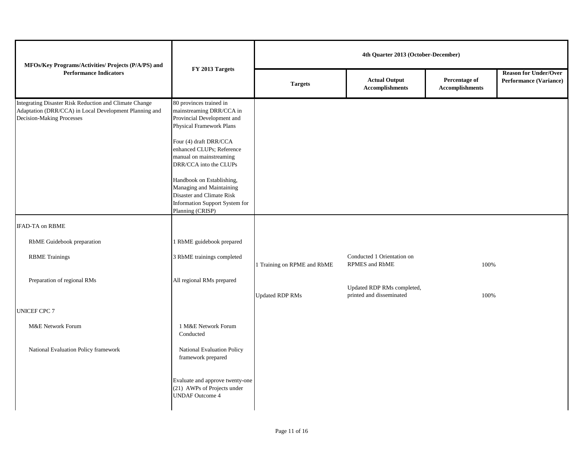| MFOs/Key Programs/Activities/ Projects (P/A/PS) and                                                                                           | FY 2013 Targets                                                                                                                          |                             | 4th Quarter 2013 (October-December)                    |                                         |                                                               |
|-----------------------------------------------------------------------------------------------------------------------------------------------|------------------------------------------------------------------------------------------------------------------------------------------|-----------------------------|--------------------------------------------------------|-----------------------------------------|---------------------------------------------------------------|
| <b>Performance Indicators</b>                                                                                                                 |                                                                                                                                          | <b>Targets</b>              | <b>Actual Output</b><br><b>Accomplishments</b>         | Percentage of<br><b>Accomplishments</b> | <b>Reason for Under/Over</b><br><b>Performance (Variance)</b> |
| Integrating Disaster Risk Reduction and Climate Change<br>Adaptation (DRR/CCA) in Local Development Planning and<br>Decision-Making Processes | 80 provinces trained in<br>mainstreaming DRR/CCA in<br>Provincial Development and<br>Physical Framework Plans                            |                             |                                                        |                                         |                                                               |
|                                                                                                                                               | Four (4) draft DRR/CCA<br>enhanced CLUPs; Reference<br>manual on mainstreaming<br>DRR/CCA into the CLUPs                                 |                             |                                                        |                                         |                                                               |
|                                                                                                                                               | Handbook on Establishing,<br>Managing and Maintaining<br>Disaster and Climate Risk<br>Information Support System for<br>Planning (CRISP) |                             |                                                        |                                         |                                                               |
| <b>IFAD-TA on RBME</b>                                                                                                                        |                                                                                                                                          |                             |                                                        |                                         |                                                               |
| RbME Guidebook preparation                                                                                                                    | 1 RbME guidebook prepared                                                                                                                |                             |                                                        |                                         |                                                               |
| <b>RBME</b> Trainings                                                                                                                         | 3 RbME trainings completed                                                                                                               | 1 Training on RPME and RbME | Conducted 1 Orientation on<br>RPMES and RbME           | 100%                                    |                                                               |
| Preparation of regional RMs                                                                                                                   | All regional RMs prepared                                                                                                                | <b>Updated RDP RMs</b>      | Updated RDP RMs completed,<br>printed and disseminated | 100%                                    |                                                               |
| <b>UNICEF CPC 7</b>                                                                                                                           |                                                                                                                                          |                             |                                                        |                                         |                                                               |
| M&E Network Forum                                                                                                                             | 1 M&E Network Forum<br>Conducted                                                                                                         |                             |                                                        |                                         |                                                               |
| National Evaluation Policy framework                                                                                                          | National Evaluation Policy<br>framework prepared                                                                                         |                             |                                                        |                                         |                                                               |
|                                                                                                                                               | Evaluate and approve twenty-one<br>(21) AWPs of Projects under<br><b>UNDAF Outcome 4</b>                                                 |                             |                                                        |                                         |                                                               |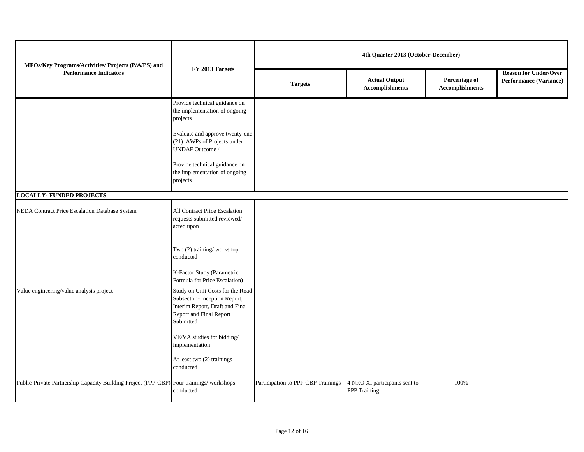| MFOs/Key Programs/Activities/ Projects (P/A/PS) and                                     |                                                                                                                                              |                                                                  | 4th Quarter 2013 (October-December)            |                                         |                                                        |
|-----------------------------------------------------------------------------------------|----------------------------------------------------------------------------------------------------------------------------------------------|------------------------------------------------------------------|------------------------------------------------|-----------------------------------------|--------------------------------------------------------|
| <b>Performance Indicators</b>                                                           | FY 2013 Targets                                                                                                                              | <b>Targets</b>                                                   | <b>Actual Output</b><br><b>Accomplishments</b> | Percentage of<br><b>Accomplishments</b> | <b>Reason for Under/Over</b><br>Performance (Variance) |
|                                                                                         | Provide technical guidance on<br>the implementation of ongoing<br>projects                                                                   |                                                                  |                                                |                                         |                                                        |
|                                                                                         | Evaluate and approve twenty-one<br>(21) AWPs of Projects under<br><b>UNDAF Outcome 4</b>                                                     |                                                                  |                                                |                                         |                                                        |
|                                                                                         | Provide technical guidance on<br>the implementation of ongoing<br>projects                                                                   |                                                                  |                                                |                                         |                                                        |
| <b>LOCALLY-FUNDED PROJECTS</b>                                                          |                                                                                                                                              |                                                                  |                                                |                                         |                                                        |
| NEDA Contract Price Escalation Database System                                          | All Contract Price Escalation<br>requests submitted reviewed/<br>acted upon                                                                  |                                                                  |                                                |                                         |                                                        |
|                                                                                         | Two (2) training/workshop<br>conducted                                                                                                       |                                                                  |                                                |                                         |                                                        |
|                                                                                         | K-Factor Study (Parametric<br>Formula for Price Escalation)                                                                                  |                                                                  |                                                |                                         |                                                        |
| Value engineering/value analysis project                                                | Study on Unit Costs for the Road<br>Subsector - Inception Report,<br>Interim Report, Draft and Final<br>Report and Final Report<br>Submitted |                                                                  |                                                |                                         |                                                        |
|                                                                                         | VE/VA studies for bidding/<br>implementation                                                                                                 |                                                                  |                                                |                                         |                                                        |
|                                                                                         | At least two (2) trainings<br>conducted                                                                                                      |                                                                  |                                                |                                         |                                                        |
| Public-Private Partnership Capacity Building Project (PPP-CBP) Four trainings/workshops | conducted                                                                                                                                    | Participation to PPP-CBP Trainings 4 NRO XI participants sent to | PPP Training                                   | 100%                                    |                                                        |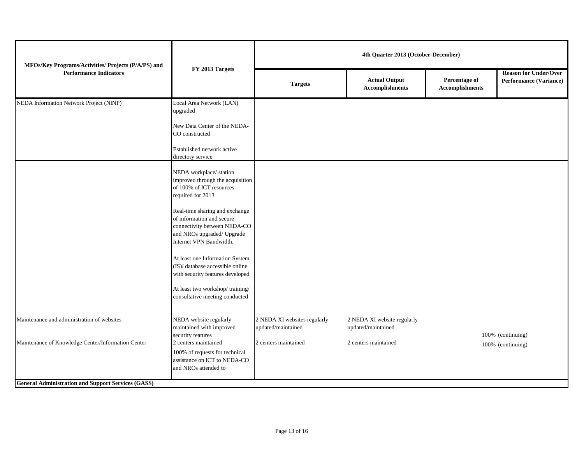| MFOs/Key Programs/Activities/ Projects (P/A/PS) and<br><b>Performance Indicators</b>                            | FY 2013 Targets                                                                                                                                                                                                                                                                                                                                                                                                                                                                                                                | 4th Quarter 2013 (October-December)                |                                                   |                                         |                                                               |  |
|-----------------------------------------------------------------------------------------------------------------|--------------------------------------------------------------------------------------------------------------------------------------------------------------------------------------------------------------------------------------------------------------------------------------------------------------------------------------------------------------------------------------------------------------------------------------------------------------------------------------------------------------------------------|----------------------------------------------------|---------------------------------------------------|-----------------------------------------|---------------------------------------------------------------|--|
|                                                                                                                 |                                                                                                                                                                                                                                                                                                                                                                                                                                                                                                                                | <b>Targets</b>                                     | <b>Actual Output</b><br><b>Accomplishments</b>    | Percentage of<br><b>Accomplishments</b> | <b>Reason for Under/Over</b><br><b>Performance (Variance)</b> |  |
| NEDA Information Network Project (NINP)                                                                         | Local Area Network (LAN)<br>upgraded<br>New Data Center of the NEDA-<br>CO constructed<br>Established network active                                                                                                                                                                                                                                                                                                                                                                                                           |                                                    |                                                   |                                         |                                                               |  |
| Maintenance and administration of websites                                                                      | directory service<br>NEDA workplace/station<br>improved through the acquisition<br>of 100% of ICT resources<br>required for 2013<br>Real-time sharing and exchange<br>of information and secure<br>connectivity between NEDA-CO<br>and NROs upgraded/ Upgrade<br>Internet VPN Bandwidth.<br>At least one Information System<br>(IS)/ database accessible online<br>with security features developed<br>At least two workshop/training/<br>consultative meeting conducted<br>NEDA website regularly<br>maintained with improved | 2 NEDA XI websites regularly<br>updated/maintained | 2 NEDA XI website regularly<br>updated/maintained |                                         |                                                               |  |
| Maintenance of Knowledge Center/Information Center<br><b>General Administration and Support Services (GASS)</b> | security features<br>2 centers maintained<br>100% of requests for technical<br>assistance on ICT to NEDA-CO<br>and NROs attended to                                                                                                                                                                                                                                                                                                                                                                                            | 2 centers maintained                               | 2 centers maintained                              |                                         | 100% (continuing)<br>100% (continuing)                        |  |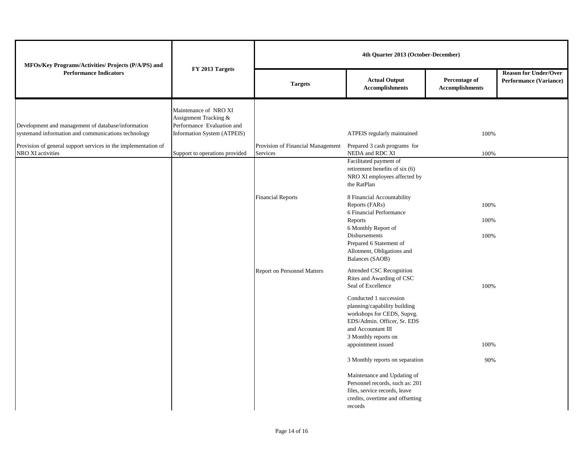| MFOs/Key Programs/Activities/ Projects (P/A/PS) and<br><b>Performance Indicators</b>                      | FY 2013 Targets                                                                                             | 4th Quarter 2013 (October-December)           |                                                                                                                                                                                         |                                         |                                                               |
|-----------------------------------------------------------------------------------------------------------|-------------------------------------------------------------------------------------------------------------|-----------------------------------------------|-----------------------------------------------------------------------------------------------------------------------------------------------------------------------------------------|-----------------------------------------|---------------------------------------------------------------|
|                                                                                                           |                                                                                                             | <b>Targets</b>                                | <b>Actual Output</b><br><b>Accomplishments</b>                                                                                                                                          | Percentage of<br><b>Accomplishments</b> | <b>Reason for Under/Over</b><br><b>Performance (Variance)</b> |
| Development and management of database/information<br>systemand information and communications technology | Maintenance of NRO XI<br>Assignment Tracking &<br>Performance Evaluation and<br>Information System (ATPEIS) |                                               | ATPEIS regularly maintained                                                                                                                                                             | 100%                                    |                                                               |
| Provision of general support services in the implementation of<br>NRO XI activities                       | Support to operations provided                                                                              | Provision of Financial Management<br>Services | Prepared 3 cash programs for<br>NEDA and RDC XI                                                                                                                                         | 100%                                    |                                                               |
|                                                                                                           |                                                                                                             |                                               | Facilitated payment of<br>retirement benefits of six (6)<br>NRO XI employees affected by<br>the RatPlan                                                                                 |                                         |                                                               |
|                                                                                                           |                                                                                                             | <b>Financial Reports</b>                      | 8 Financial Accountability<br>Reports (FARs)<br>6 Financial Performance                                                                                                                 | 100%                                    |                                                               |
|                                                                                                           |                                                                                                             |                                               | Reports<br>6 Monthly Report of<br>Disbursements<br>Prepared 6 Statement of<br>Allotment, Obligations and<br>Balances (SAOB)                                                             | 100%<br>100%                            |                                                               |
|                                                                                                           |                                                                                                             | <b>Report on Personnel Matters</b>            | Attended CSC Recognition<br>Rites and Awarding of CSC<br>Seal of Excellence                                                                                                             | 100%                                    |                                                               |
|                                                                                                           |                                                                                                             |                                               | Conducted 1 succession<br>planning/capability building<br>workshops for CEDS, Supvg.<br>EDS/Admin. Officer, Sr. EDS<br>and Accountant III<br>3 Monthly reports on<br>appointment issued | 100%                                    |                                                               |
|                                                                                                           |                                                                                                             |                                               | 3 Monthly reports on separation                                                                                                                                                         | 90%                                     |                                                               |
|                                                                                                           |                                                                                                             |                                               | Maintenance and Updating of<br>Personnel records, such as: 201<br>files, service records, leave<br>credits, overtime and offsetting<br>records                                          |                                         |                                                               |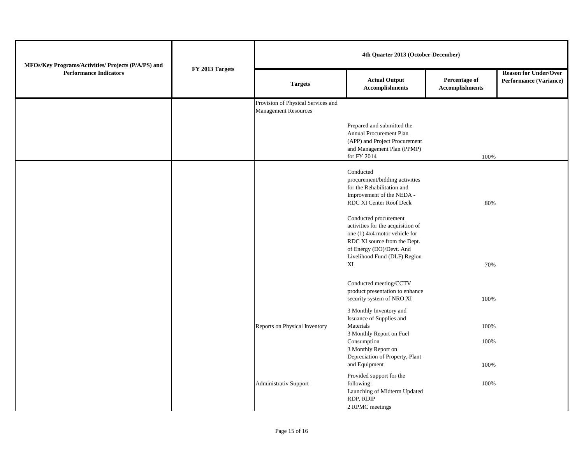| MFOs/Key Programs/Activities/ Projects (P/A/PS) and<br><b>Performance Indicators</b> | FY 2013 Targets | 4th Quarter 2013 (October-December)                               |                                                                                                                                                                                         |                                         |                                                        |
|--------------------------------------------------------------------------------------|-----------------|-------------------------------------------------------------------|-----------------------------------------------------------------------------------------------------------------------------------------------------------------------------------------|-----------------------------------------|--------------------------------------------------------|
|                                                                                      |                 | <b>Targets</b>                                                    | <b>Actual Output</b><br><b>Accomplishments</b>                                                                                                                                          | Percentage of<br><b>Accomplishments</b> | <b>Reason for Under/Over</b><br>Performance (Variance) |
|                                                                                      |                 | Provision of Physical Services and<br><b>Management Resources</b> |                                                                                                                                                                                         |                                         |                                                        |
|                                                                                      |                 |                                                                   | Prepared and submitted the<br>Annual Procurement Plan<br>(APP) and Project Procurement<br>and Management Plan (PPMP)<br>for FY 2014                                                     | 100%                                    |                                                        |
|                                                                                      |                 |                                                                   | Conducted<br>procurement/bidding activities<br>for the Rehabilitation and<br>Improvement of the NEDA -<br>RDC XI Center Roof Deck                                                       | 80%                                     |                                                        |
|                                                                                      |                 |                                                                   | Conducted procurement<br>activities for the acquisition of<br>one (1) 4x4 motor vehicle for<br>RDC XI source from the Dept.<br>of Energy (DO)/Devt. And<br>Livelihood Fund (DLF) Region |                                         |                                                        |
|                                                                                      |                 |                                                                   | XI<br>Conducted meeting/CCTV<br>product presentation to enhance<br>security system of NRO XI                                                                                            | 70%<br>100%                             |                                                        |
|                                                                                      |                 | Reports on Physical Inventory                                     | 3 Monthly Inventory and<br>Issuance of Supplies and<br>Materials<br>3 Monthly Report on Fuel<br>Consumption                                                                             | 100%<br>100%                            |                                                        |
|                                                                                      |                 |                                                                   | 3 Monthly Report on<br>Depreciation of Property, Plant<br>and Equipment                                                                                                                 | 100%                                    |                                                        |
|                                                                                      |                 | <b>Administrativ Support</b>                                      | Provided support for the<br>following:<br>Launching of Midterm Updated<br>RDP, RDIP<br>2 RPMC meetings                                                                                  | 100%                                    |                                                        |